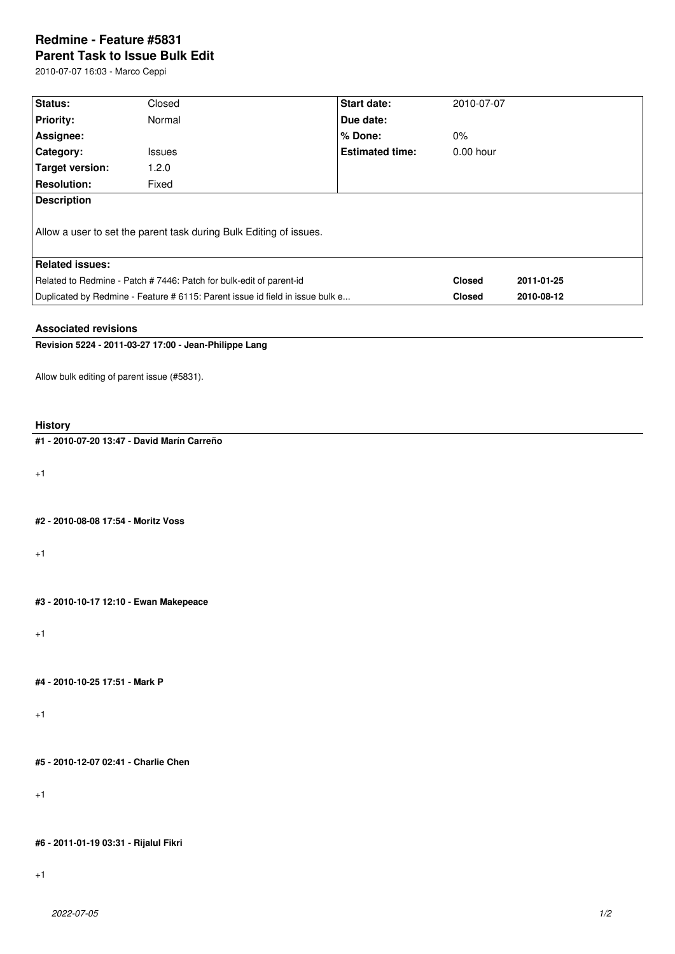## **Redmine - Feature #5831 Parent Task to Issue Bulk Edit**

2010-07-07 16:03 - Marco Ceppi

| Status:                                                                       | Closed | Start date:            | 2010-07-07    |            |
|-------------------------------------------------------------------------------|--------|------------------------|---------------|------------|
| <b>Priority:</b>                                                              | Normal | Due date:              |               |            |
| Assignee:                                                                     |        | % Done:                | $0\%$         |            |
| Category:                                                                     | Issues | <b>Estimated time:</b> | $0.00$ hour   |            |
| <b>Target version:</b>                                                        | 1.2.0  |                        |               |            |
| <b>Resolution:</b>                                                            | Fixed  |                        |               |            |
| <b>Description</b>                                                            |        |                        |               |            |
| Allow a user to set the parent task during Bulk Editing of issues.            |        |                        |               |            |
| <b>Related issues:</b>                                                        |        |                        |               |            |
| Related to Redmine - Patch # 7446: Patch for bulk-edit of parent-id           |        |                        | <b>Closed</b> | 2011-01-25 |
| Duplicated by Redmine - Feature # 6115: Parent issue id field in issue bulk e |        |                        | Closed        | 2010-08-12 |
|                                                                               |        |                        |               |            |
| <b>Associated revisions</b>                                                   |        |                        |               |            |
| Revision 5224 - 2011-03-27 17:00 - Jean-Philippe Lang                         |        |                        |               |            |
| Allow bulk editing of parent issue (#5831).                                   |        |                        |               |            |
|                                                                               |        |                        |               |            |
| <b>History</b>                                                                |        |                        |               |            |
| #1 - 2010-07-20 13:47 - David Marín Carreño                                   |        |                        |               |            |
|                                                                               |        |                        |               |            |
| $+1$                                                                          |        |                        |               |            |
|                                                                               |        |                        |               |            |
|                                                                               |        |                        |               |            |
| #2 - 2010-08-08 17:54 - Moritz Voss                                           |        |                        |               |            |
| $+1$                                                                          |        |                        |               |            |
|                                                                               |        |                        |               |            |
|                                                                               |        |                        |               |            |
| #3 - 2010-10-17 12:10 - Ewan Makepeace                                        |        |                        |               |            |
|                                                                               |        |                        |               |            |
| $+1$                                                                          |        |                        |               |            |
|                                                                               |        |                        |               |            |
|                                                                               |        |                        |               |            |
| #4 - 2010-10-25 17:51 - Mark P                                                |        |                        |               |            |
| $+1$                                                                          |        |                        |               |            |
|                                                                               |        |                        |               |            |
|                                                                               |        |                        |               |            |
| #5 - 2010-12-07 02:41 - Charlie Chen                                          |        |                        |               |            |
|                                                                               |        |                        |               |            |
| $+1$                                                                          |        |                        |               |            |
|                                                                               |        |                        |               |            |
|                                                                               |        |                        |               |            |
| #6 - 2011-01-19 03:31 - Rijalul Fikri                                         |        |                        |               |            |
|                                                                               |        |                        |               |            |